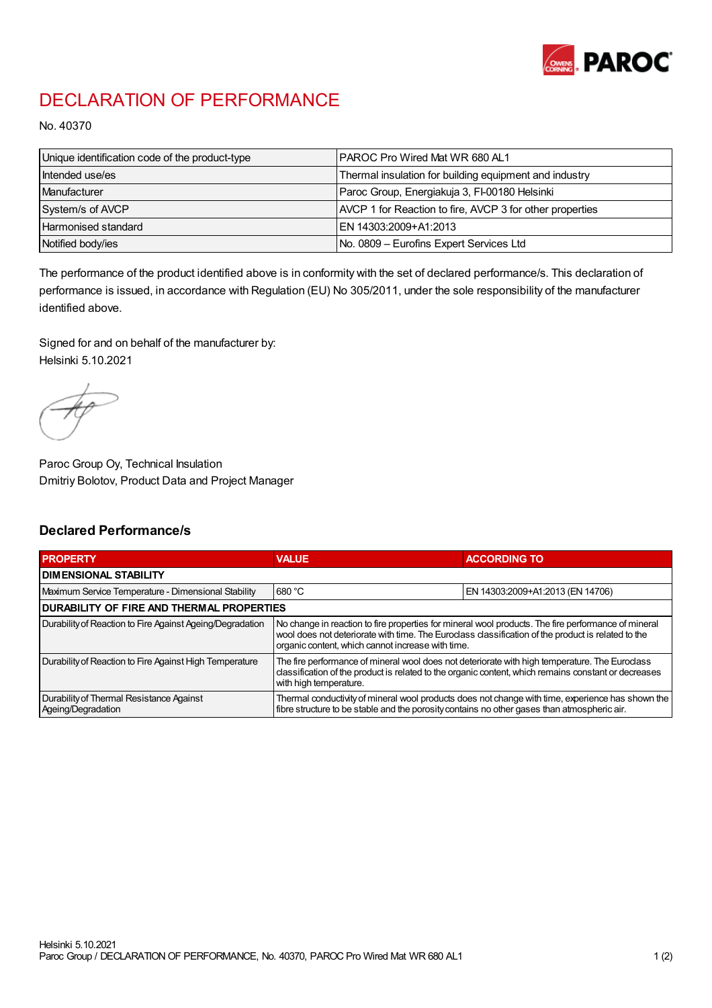

## DECLARATION OF PERFORMANCE

No. 40370

| Unique identification code of the product-type | <b>IPAROC Pro Wired Mat WR 680 AL1</b>                   |
|------------------------------------------------|----------------------------------------------------------|
| Intended use/es                                | Thermal insulation for building equipment and industry   |
| Manufacturer                                   | Paroc Group, Energiakuja 3, FI-00180 Helsinki            |
| System/s of AVCP                               | AVCP 1 for Reaction to fire, AVCP 3 for other properties |
| Harmonised standard                            | IEN 14303:2009+A1:2013                                   |
| Notified body/ies                              | No. 0809 - Eurofins Expert Services Ltd                  |

The performance of the product identified above is in conformity with the set of declared performance/s. This declaration of performance is issued, in accordance with Regulation (EU) No 305/2011, under the sole responsibility of the manufacturer identified above.

Signed for and on behalf of the manufacturer by: Helsinki 5.10.2021

Paroc Group Oy, Technical Insulation Dmitriy Bolotov, Product Data and Project Manager

## Declared Performance/s

| <b>PROPERTY</b>                                                | <b>VALUE</b>                                                                                                                                                                                                                                                   | <b>ACCORDING TO</b>              |  |
|----------------------------------------------------------------|----------------------------------------------------------------------------------------------------------------------------------------------------------------------------------------------------------------------------------------------------------------|----------------------------------|--|
| <b>DIMENSIONAL STABILITY</b>                                   |                                                                                                                                                                                                                                                                |                                  |  |
| Maximum Service Temperature - Dimensional Stability            | 680 °C                                                                                                                                                                                                                                                         | EN 14303:2009+A1:2013 (EN 14706) |  |
| <b>DURABILITY OF FIRE AND THERMAL PROPERTIES</b>               |                                                                                                                                                                                                                                                                |                                  |  |
| Durability of Reaction to Fire Against Ageing/Degradation      | No change in reaction to fire properties for mineral wool products. The fire performance of mineral<br>wool does not deteriorate with time. The Euroclass classification of the product is related to the<br>organic content, which cannot increase with time. |                                  |  |
| Durability of Reaction to Fire Against High Temperature        | The fire performance of mineral wool does not deteriorate with high temperature. The Eurodass<br>classification of the product is related to the organic content, which remains constant or decreases<br>with high temperature.                                |                                  |  |
| Durability of Thermal Resistance Against<br>Ageing/Degradation | Thermal conductivity of mineral wool products does not change with time, experience has shown the<br>fibre structure to be stable and the porosity contains no other gases than atmospheric air.                                                               |                                  |  |